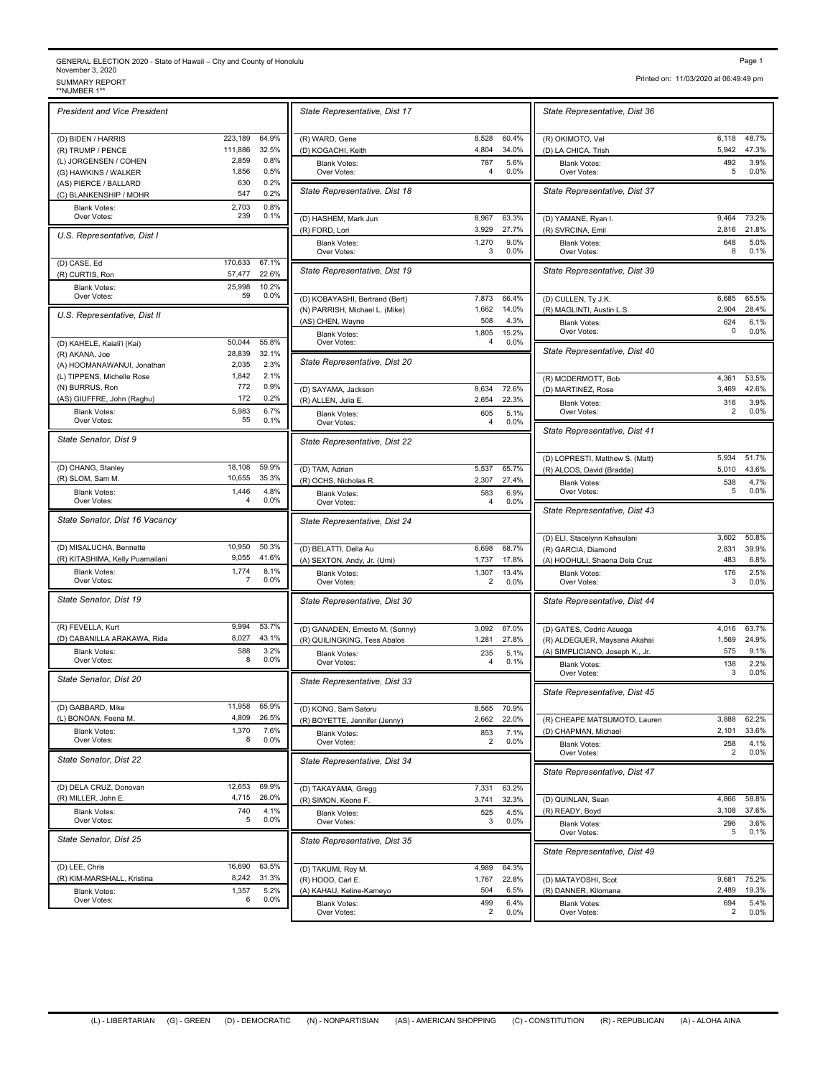## GENERAL ELECTION 2020 - State of Hawaii – City and County of Honolulu<br>November 3, 2020<br>\*\*NUMBER 1\*\*<br>\*\*NUMBER 1\*\*

| <b>President and Vice President</b> |         |              | State Representative, Dist     |
|-------------------------------------|---------|--------------|--------------------------------|
| (D) BIDEN / HARRIS                  | 223,189 | 64.9%        | (R) WARD, Gene                 |
| (R) TRUMP / PENCE                   | 111,886 | 32.5%        | (D) KOGACHI, Keith             |
|                                     |         | 0.8%         |                                |
| (L) JORGENSEN / COHEN               | 2,859   |              | <b>Blank Votes:</b>            |
| (G) HAWKINS / WALKER                | 1,856   | 0.5%         | Over Votes:                    |
| (AS) PIERCE / BALLARD               | 630     | 0.2%         |                                |
| (C) BLANKENSHIP / MOHR              | 547     | 0.2%         | State Representative, Dist     |
| <b>Blank Votes:</b>                 | 2,703   | 0.8%         |                                |
| Over Votes:                         | 239     | 0.1%         | (D) HASHEM, Mark Jun           |
|                                     |         |              |                                |
| U.S. Representative, Dist I         |         |              | (R) FORD, Lori                 |
|                                     |         |              | <b>Blank Votes:</b>            |
|                                     |         |              | Over Votes:                    |
| (D) CASE, Ed                        | 170,633 | 67.1%        |                                |
| (R) CURTIS, Ron                     | 57,477  | 22.6%        | State Representative, Dist 1   |
|                                     | 25,998  | 10.2%        |                                |
| <b>Blank Votes:</b><br>Over Votes:  | 59      | 0.0%         |                                |
|                                     |         |              | (D) KOBAYASHI, Bertrand (Bert  |
| U.S. Representative, Dist II        |         |              | (N) PARRISH, Michael L. (Mike) |
|                                     |         |              | (AS) CHEN, Wayne               |
|                                     |         |              | <b>Blank Votes:</b>            |
| (D) KAHELE, Kaiali'i (Kai)          | 50,044  | 55.8%        | Over Votes:                    |
|                                     | 28,839  | 32.1%        |                                |
| (R) AKANA, Joe                      |         |              | State Representative, Dist 2   |
| (A) HOOMANAWANUI, Jonathan          | 2,035   | 2.3%         |                                |
| (L) TIPPENS, Michelle Rose          | 1,842   | 2.1%         |                                |
| (N) BURRUS, Ron                     | 772     | 0.9%         |                                |
|                                     |         |              | (D) SAYAMA, Jackson            |
| (AS) GIUFFRE, John (Raghu)          | 172     | 0.2%         | (R) ALLEN, Julia E.            |
| <b>Blank Votes:</b>                 | 5,983   | 6.7%         | <b>Blank Votes:</b>            |
| Over Votes:                         | 55      | 0.1%         | Over Votes:                    |
|                                     |         |              |                                |
| State Senator, Dist 9               |         |              | State Representative, Dist 2   |
| (D) CHANG, Stanley                  | 18,108  | 59.9%        |                                |
|                                     | 10,655  | 35.3%        | (D) TAM, Adrian                |
| (R) SLOM, Sam M.                    |         |              | (R) OCHS, Nicholas R.          |
| <b>Blank Votes:</b>                 | 1,446   | 4.8%         | <b>Blank Votes:</b>            |
| Over Votes:                         | 4       | 0.0%         | Over Votes:                    |
| State Senator, Dist 16 Vacancy      |         |              | State Representative, Dist 2   |
|                                     |         |              |                                |
| (D) MISALUCHA, Bennette             | 10,950  | 50.3%        | (D) BELATTI, Della Au          |
| (R) KITASHIMA, Kelly Puamailani     | 9,055   | 41.6%        | (A) SEXTON, Andy, Jr. (Umi)    |
| <b>Blank Votes:</b>                 | 1,774   | 8.1%         | <b>Blank Votes:</b>            |
| Over Votes:                         | 7       | 0.0%         | Over Votes:                    |
|                                     |         |              |                                |
| State Senator, Dist 19              |         |              | State Representative, Dist 3   |
| (R) FEVELLA, Kurt                   | 9,994   | 53.7%        | (D) GANADEN, Ernesto M. (Sor   |
| (D) CABANILLA ARAKAWA, Rida         | 8,027   | 43.1%        |                                |
|                                     |         |              | (R) QUILINGKING, Tess Abalos   |
| <b>Blank Votes:</b>                 | 588     | 3.2%         | <b>Blank Votes:</b>            |
| Over Votes:                         | 8       | 0.0%         | Over Votes:                    |
| State Senator, Dist 20              |         |              | State Representative, Dist 3   |
| (D) GABBARD, Mike                   | 11,958  | 65.9%        |                                |
|                                     |         |              | (D) KONG, Sam Satoru           |
| (L) BONOAN, Feena M.                | 4,809   | 26.5%        | (R) BOYETTE, Jennifer (Jenny)  |
| <b>Blank Votes:</b>                 | 1,370   | 7.6%         | <b>Blank Votes:</b>            |
| Over Votes:                         | 8       | 0.0%         | Over Votes:                    |
| State Senator, Dist 22              |         |              |                                |
|                                     |         |              | State Representative, Dist 3   |
|                                     |         |              |                                |
| (D) DELA CRUZ, Donovan              | 12,653  | 69.9%        | (D) TAKAYAMA, Gregg            |
| (R) MILLER, John E.                 | 4,715   | 26.0%        | (R) SIMON, Keone F.            |
| <b>Blank Votes:</b>                 | 740     | 4.1%         | <b>Blank Votes:</b>            |
| Over Votes:                         | 5       | 0.0%         | Over Votes:                    |
| State Senator, Dist 25              |         |              | State Representative, Dist 3   |
|                                     |         |              |                                |
| (D) LEE, Chris                      | 16,690  | 63.5%        | (D) TAKUMI, Roy M.             |
| (R) KIM-MARSHALL, Kristina          | 8,242   | 31.3%        | (R) HOOD, Carl E.              |
|                                     |         |              |                                |
| Blank Votes:                        | 1,357   | 5.2%<br>0.0% | (A) KAHAU, Keline-Kameyo       |
| Over Votes:                         | 6       |              | <b>Rlank Votee:</b>            |

|                         | State Representative, Dist 17                                    |                                            | State Representative, Dist 3                             |
|-------------------------|------------------------------------------------------------------|--------------------------------------------|----------------------------------------------------------|
| 64.9%                   | (R) WARD, Gene                                                   | 8,528<br>60.4%                             | (R) OKIMOTO, Val                                         |
| 32.5%                   | (D) KOGACHI, Keith                                               | 4,804<br>34.0%                             | (D) LA CHICA, Trish                                      |
| 0.8%<br>0.5%            | <b>Blank Votes:</b><br>Over Votes:                               | 787<br>5.6%<br>4<br>0.0%                   | <b>Blank Votes:</b><br>Over Votes:                       |
| 0.2%<br>0.2%<br>0.8%    | State Representative, Dist 18                                    |                                            | State Representative, Dist 3                             |
| 0.1%                    | (D) HASHEM, Mark Jun<br>(R) FORD, Lori                           | 63.3%<br>8,967<br>3,929<br>27.7%           | (D) YAMANE, Ryan I.<br>(R) SVRCINA, Emil                 |
|                         | <b>Blank Votes:</b><br>Over Votes:                               | 9.0%<br>1,270<br>0.0%<br>3                 | <b>Blank Votes:</b><br>Over Votes:                       |
| 67.1%<br>22.6%<br>10.2% | State Representative, Dist 19                                    |                                            | State Representative, Dist 3                             |
| 0.0%                    | (D) KOBAYASHI, Bertrand (Bert)<br>(N) PARRISH, Michael L. (Mike) | 7,873<br>66.4%<br>1,662<br>14.0%           | (D) CULLEN, Ty J.K.<br>(R) MAGLINTI, Austin L.S.         |
|                         | (AS) CHEN, Wayne<br><b>Blank Votes:</b>                          | 508<br>4.3%<br>1,805<br>15.2%              | <b>Blank Votes:</b><br>Over Votes:                       |
| 55.8%<br>32.1%          | Over Votes:<br>State Representative, Dist 20                     | 0.0%<br>4                                  | State Representative, Dist 4                             |
| 2.3%<br>2.1%<br>0.9%    |                                                                  |                                            | (R) MCDERMOTT, Bob                                       |
| 0.2%<br>6.7%            | (D) SAYAMA, Jackson<br>(R) ALLEN, Julia E.                       | 8,634<br>72.6%<br>22.3%<br>2,654           | (D) MARTINEZ, Rose<br><b>Blank Votes:</b><br>Over Votes: |
| 0.1%                    | Blank Votes:<br>Over Votes:                                      | 5.1%<br>605<br>4<br>0.0%                   | State Representative, Dist 4                             |
|                         | State Representative, Dist 22                                    |                                            | (D) LOPRESTI, Matthew S. (Ma                             |
| 59.9%<br>35.3%          | (D) TAM, Adrian                                                  | 5,537<br>65.7%                             | (R) ALCOS, David (Bradda)                                |
| 4.8%<br>0.0%            | (R) OCHS, Nicholas R.<br>Blank Votes:<br>Over Votes:             | 2,307<br>27.4%<br>583<br>6.9%<br>4<br>0.0% | <b>Blank Votes:</b><br>Over Votes:                       |
|                         | State Representative, Dist 24                                    |                                            | State Representative, Dist 4                             |
| 50.3%                   |                                                                  | 68.7%                                      | (D) ELI, Stacelynn Kehaulani                             |
| 41.6%                   | (D) BELATTI, Della Au<br>(A) SEXTON, Andy, Jr. (Umi)             | 6,698<br>1,737<br>17.8%                    | (R) GARCIA, Diamond<br>(A) HOOHULI, Shaena Dela Cru      |
| 8.1%<br>0.0%            | <b>Blank Votes:</b><br>Over Votes:                               | 13.4%<br>1,307<br>0.0%<br>2                | <b>Blank Votes:</b><br>Over Votes:                       |
|                         | State Representative, Dist 30                                    |                                            | State Representative, Dist 4                             |
| 53.7%<br>43.1%          | (D) GANADEN, Ernesto M. (Sonny)<br>(R) QUILINGKING, Tess Abalos  | 3,092<br>67.0%<br>1,281<br>27.8%           | (D) GATES, Cedric Asuega<br>(R) ALDEGUER, Maysana Akah   |
| 3.2%<br>0.0%            | <b>Blank Votes:</b><br>Over Votes:                               | 235<br>5.1%<br>4<br>0.1%                   | (A) SIMPLICIANO, Joseph K., J<br><b>Blank Votes:</b>     |
|                         | State Representative, Dist 33                                    |                                            | Over Votes:<br>State Representative, Dist 4              |
| 65.9%<br>26.5%          | (D) KONG, Sam Satoru<br>(R) BOYETTE, Jennifer (Jenny)            | 8,565<br>70.9%<br>2,662<br>22.0%           | (R) CHEAPE MATSUMOTO, La                                 |
| 7.6%<br>0.0%            | <b>Blank Votes:</b><br>Over Votes:                               | 7.1%<br>853<br>2<br>$0.0\%$                | (D) CHAPMAN, Michael<br><b>Blank Votes:</b>              |
|                         | State Representative, Dist 34                                    |                                            | Over Votes:                                              |
| 69.9%                   | (D) TAKAYAMA, Gregg                                              | 7,331<br>63.2%                             | State Representative, Dist 4                             |
| 26.0%<br>4.1%<br>0.0%   | (R) SIMON, Keone F.<br>Blank Votes:<br>Over Votes:               | 3,741<br>32.3%<br>525<br>4.5%<br>0.0%<br>3 | (D) QUINLAN, Sean<br>(R) READY, Boyd                     |
|                         | State Representative, Dist 35                                    |                                            | <b>Blank Votes:</b><br>Over Votes:                       |
| 63.5%                   | (D) TAKUMI, Roy M.                                               | 4,989<br>64.3%                             | State Representative, Dist 4                             |
| 31.3%                   | (R) HOOD, Carl E.                                                | 1,767<br>22.8%                             | (D) MATAYOSHI, Scot                                      |
| 5.2%<br>0.0%            | (A) KAHAU, Keline-Kameyo<br><b>Blank Votes:</b>                  | 504<br>6.5%<br>499<br>6.4%<br>2            | (R) DANNER, Kilomana<br><b>Blank Votes:</b>              |
|                         | Over Votes:                                                      | $0.0\%$                                    | Over Votes:                                              |

Printed on: 11/03/2020 at 06:49:49 pm

| State Representative, Dist 36                           |                |                |
|---------------------------------------------------------|----------------|----------------|
| (R) OKIMOTO, Val                                        | 6,118          | 48.7%          |
| (D) LA CHICA, Trish                                     | 5,942          | 47.3%          |
| <b>Blank Votes:</b>                                     | 492            | 3.9%           |
| Over Votes:                                             | 5              | 0.0%           |
| State Representative, Dist 37                           |                |                |
| (D) YAMANE, Ryan I.                                     | 9,464<br>2,816 | 73.2%<br>21.8% |
| (R) SVRCINA, Emil<br><b>Blank Votes:</b><br>Over Votes: | 648<br>8       | 5.0%<br>0.1%   |
| State Representative, Dist 39                           |                |                |
| (D) CULLEN, Ty J.K.                                     | 6,685          | 65.5%          |
| (R) MAGLINTI, Austin L.S.                               | 2,904          | 28.4%          |
| <b>Blank Votes:</b>                                     | 624            | 6.1%           |
| Over Votes:                                             | 0              | 0.0%           |
| State Representative, Dist 40                           |                |                |
| (R) MCDERMOTT, Bob                                      | 4,361          | 53.5%          |
| (D) MARTINEZ, Rose                                      | 3,469          | 42.6%          |
| Blank Votes:                                            | 316            | 3.9%           |
| Over Votes:                                             | 2              | 0.0%           |
| State Representative, Dist 41                           |                |                |
| (D) LOPRESTI, Matthew S. (Matt)                         | 5,934          | 51.7%          |
| (R) ALCOS, David (Bradda)                               | 5,010          | 43.6%          |
| <b>Blank Votes:</b>                                     | 538            | 4.7%           |
| Over Votes:                                             | 5              | $0.0\%$        |
| State Representative, Dist 43                           |                |                |
| (D) ELI, Stacelynn Kehaulani                            | 3,602          | 50.8%          |
| (R) GARCIA, Diamond                                     | 2,831          | 39.9%          |
| (A) HOOHULI, Shaena Dela Cruz                           | 483            | 6.8%           |
| <b>Blank Votes:</b>                                     | 176            | 2.5%           |
| Over Votes:                                             | 3              | 0.0%           |
| State Representative, Dist 44                           |                |                |
| (D) GATES, Cedric Asuega                                | 4,016          | 63.7%          |
| (R) ALDEGUER, Maysana Akahai                            | 1,569          | 24.9%          |
| (A) SIMPLICIANO, Joseph K., Jr.                         | 575            | 9.1%           |
| <b>Blank Votes:</b>                                     | 138            | 2.2%           |
| Over Votes:                                             | 3              | $0.0\%$        |
| State Representative, Dist 45                           |                |                |
| (R) CHEAPE MATSUMOTO, Lauren                            | 3,888          | 62.2%          |
| (D) CHAPMAN, Michael                                    | 2,101          | 33.6%          |
| <b>Blank Votes:</b>                                     | 258            | 4.1%           |
| Over Votes:                                             | 2              | 0.0%           |
| State Representative, Dist 47                           |                |                |
| (D) QUINLAN, Sean                                       | 4,866          | 58.8%          |
| (R) READY, Boyd                                         | 3,108          | 37.6%          |
| <b>Blank Votes:</b>                                     | 296            | 3.6%           |
| Over Votes:                                             | 5              | 0.1%           |
| State Representative, Dist 49                           |                |                |
| (D) MATAYOSHI, Scot                                     | 9,681          | 75.2%          |
| (R) DANNER, Kilomana                                    | 2,489          | 19.3%          |
| <b>Blank Votes:</b>                                     | 694            | 5.4%           |
| Over Votes:                                             | 2              | 0.0%           |